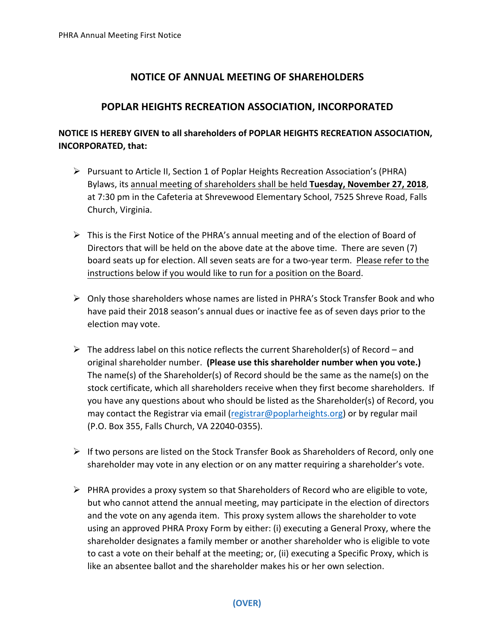## **NOTICE OF ANNUAL MEETING OF SHAREHOLDERS**

## **POPLAR HEIGHTS RECREATION ASSOCIATION, INCORPORATED**

## **NOTICE IS HEREBY GIVEN to all shareholders of POPLAR HEIGHTS RECREATION ASSOCIATION, INCORPORATED, that:**

- $\triangleright$  Pursuant to Article II, Section 1 of Poplar Heights Recreation Association's (PHRA) Bylaws, its annual meeting of shareholders shall be held **Tuesday, November 27, 2018**, at 7:30 pm in the Cafeteria at Shrevewood Elementary School, 7525 Shreve Road, Falls Church, Virginia.
- $\triangleright$  This is the First Notice of the PHRA's annual meeting and of the election of Board of Directors that will be held on the above date at the above time. There are seven (7) board seats up for election. All seven seats are for a two-year term. Please refer to the instructions below if you would like to run for a position on the Board.
- $\triangleright$  Only those shareholders whose names are listed in PHRA's Stock Transfer Book and who have paid their 2018 season's annual dues or inactive fee as of seven days prior to the election may vote.
- $\triangleright$  The address label on this notice reflects the current Shareholder(s) of Record and original shareholder number. (Please use this shareholder number when you vote.) The name(s) of the Shareholder(s) of Record should be the same as the name(s) on the stock certificate, which all shareholders receive when they first become shareholders. If you have any questions about who should be listed as the Shareholder(s) of Record, you may contact the Registrar via email (registrar@poplarheights.org) or by regular mail (P.O. Box 355, Falls Church, VA 22040-0355).
- $\triangleright$  If two persons are listed on the Stock Transfer Book as Shareholders of Record, only one shareholder may vote in any election or on any matter requiring a shareholder's vote.
- $\triangleright$  PHRA provides a proxy system so that Shareholders of Record who are eligible to vote, but who cannot attend the annual meeting, may participate in the election of directors and the vote on any agenda item. This proxy system allows the shareholder to vote using an approved PHRA Proxy Form by either: (i) executing a General Proxy, where the shareholder designates a family member or another shareholder who is eligible to vote to cast a vote on their behalf at the meeting; or, (ii) executing a Specific Proxy, which is like an absentee ballot and the shareholder makes his or her own selection.